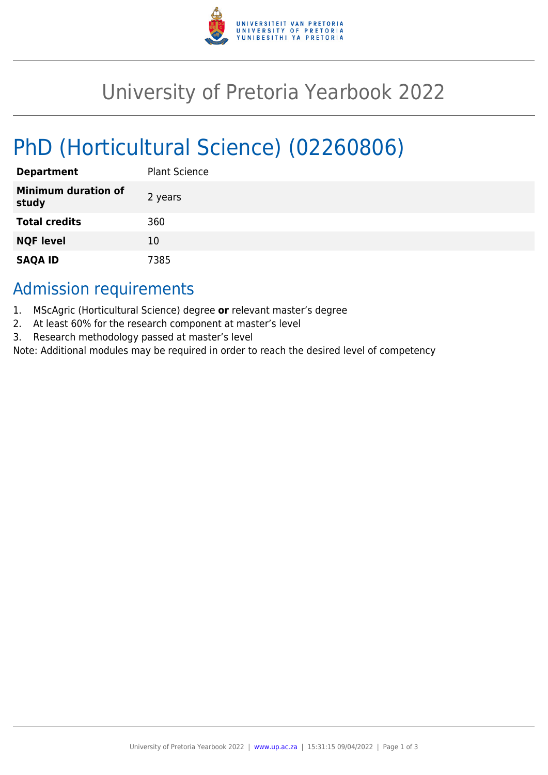

# University of Pretoria Yearbook 2022

# PhD (Horticultural Science) (02260806)

| <b>Department</b>                   | <b>Plant Science</b> |
|-------------------------------------|----------------------|
| <b>Minimum duration of</b><br>study | 2 years              |
| <b>Total credits</b>                | 360                  |
| <b>NQF level</b>                    | 10                   |
| <b>SAQA ID</b>                      | 7385                 |

## Admission requirements

- 1. MScAgric (Horticultural Science) degree **or** relevant master's degree
- 2. At least 60% for the research component at master's level
- 3. Research methodology passed at master's level

Note: Additional modules may be required in order to reach the desired level of competency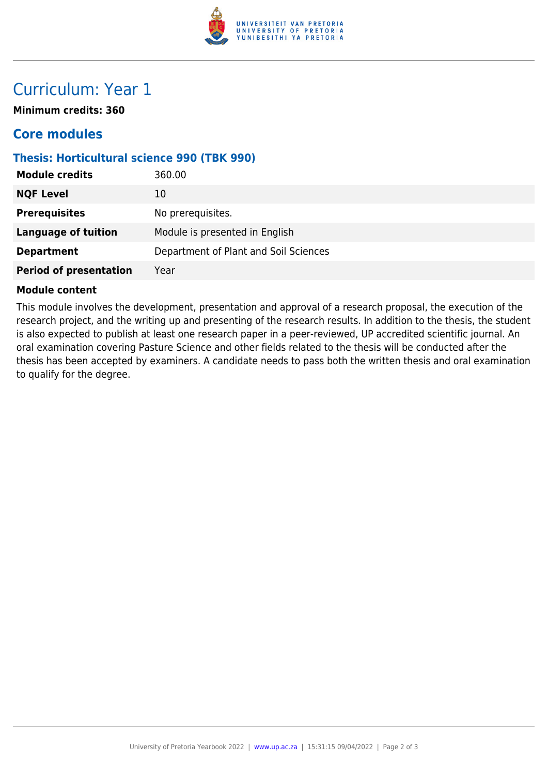

## Curriculum: Year 1

**Minimum credits: 360**

### **Core modules**

#### **Thesis: Horticultural science 990 (TBK 990)**

| <b>Module credits</b>         | 360.00                                |
|-------------------------------|---------------------------------------|
| <b>NQF Level</b>              | 10                                    |
| <b>Prerequisites</b>          | No prerequisites.                     |
| <b>Language of tuition</b>    | Module is presented in English        |
| <b>Department</b>             | Department of Plant and Soil Sciences |
| <b>Period of presentation</b> | Year                                  |

#### **Module content**

This module involves the development, presentation and approval of a research proposal, the execution of the research project, and the writing up and presenting of the research results. In addition to the thesis, the student is also expected to publish at least one research paper in a peer-reviewed, UP accredited scientific journal. An oral examination covering Pasture Science and other fields related to the thesis will be conducted after the thesis has been accepted by examiners. A candidate needs to pass both the written thesis and oral examination to qualify for the degree.